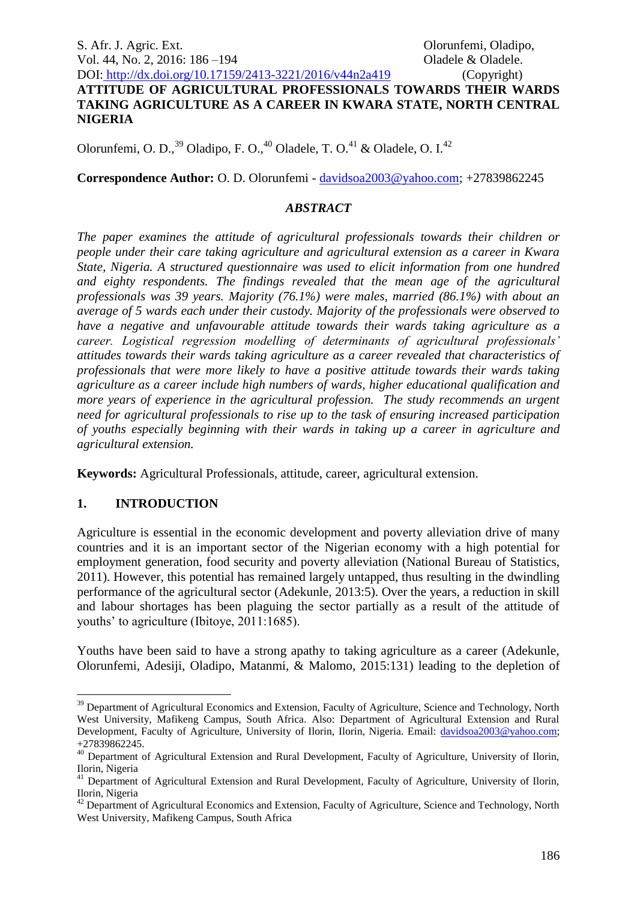S. Afr. J. Agric. Ext. Olorunfemi, Oladipo, Vol. 44, No. 2, 2016: 186 – 194 **Constanting Constanting Constanting Constanting Constanting Constanting Constanting Constanting Constanting Constanting Constanting Constanting Constanting Constanting Constanting Constanti** 

#### DOI: http://dx.doi.org/10.17159/2413-3221/2016/v44n2a419 (Copyright) **ATTITUDE OF AGRICULTURAL PROFESSIONALS TOWARDS THEIR WARDS TAKING AGRICULTURE AS A CAREER IN KWARA STATE, NORTH CENTRAL NIGERIA**

Olorunfemi, O. D.,<sup>39</sup> Oladipo, F. O.,<sup>40</sup> Oladele, T. O.<sup>41</sup> & Oladele, O. I.<sup>42</sup>

**Correspondence Author:** O. D. Olorunfemi - [davidsoa2003@yahoo.com;](mailto:davidsoa2003@yahoo.com) +27839862245

# *ABSTRACT*

*The paper examines the attitude of agricultural professionals towards their children or people under their care taking agriculture and agricultural extension as a career in Kwara State, Nigeria. A structured questionnaire was used to elicit information from one hundred and eighty respondents. The findings revealed that the mean age of the agricultural professionals was 39 years. Majority (76.1%) were males, married (86.1%) with about an average of 5 wards each under their custody. Majority of the professionals were observed to have a negative and unfavourable attitude towards their wards taking agriculture as a career. Logistical regression modelling of determinants of agricultural professionals' attitudes towards their wards taking agriculture as a career revealed that characteristics of professionals that were more likely to have a positive attitude towards their wards taking agriculture as a career include high numbers of wards, higher educational qualification and more years of experience in the agricultural profession. The study recommends an urgent need for agricultural professionals to rise up to the task of ensuring increased participation of youths especially beginning with their wards in taking up a career in agriculture and agricultural extension.*

**Keywords:** Agricultural Professionals, attitude, career, agricultural extension.

# **1. INTRODUCTION**

1

Agriculture is essential in the economic development and poverty alleviation drive of many countries and it is an important sector of the Nigerian economy with a high potential for employment generation, food security and poverty alleviation (National Bureau of Statistics, 2011). However, this potential has remained largely untapped, thus resulting in the dwindling performance of the agricultural sector (Adekunle, 2013:5). Over the years, a reduction in skill and labour shortages has been plaguing the sector partially as a result of the attitude of youths' to agriculture (Ibitoye, 2011:1685).

Youths have been said to have a strong apathy to taking agriculture as a career (Adekunle, Olorunfemi, Adesiji, Oladipo, Matanmi, & Malomo, 2015:131) leading to the depletion of

<sup>&</sup>lt;sup>39</sup> Department of Agricultural Economics and Extension, Faculty of Agriculture, Science and Technology, North West University, Mafikeng Campus, South Africa. Also: Department of Agricultural Extension and Rural Development, Faculty of Agriculture, University of Ilorin, Ilorin, Nigeria. Email: [davidsoa2003@yahoo.com;](mailto:davidsoa2003@yahoo.com) +27839862245.

<sup>&</sup>lt;sup>40</sup> Department of Agricultural Extension and Rural Development, Faculty of Agriculture, University of Ilorin, Ilorin, Nigeria

<sup>&</sup>lt;sup>41</sup> Department of Agricultural Extension and Rural Development, Faculty of Agriculture, University of Ilorin, Ilorin, Nigeria

<sup>&</sup>lt;sup>42</sup> Department of Agricultural Economics and Extension, Faculty of Agriculture, Science and Technology, North West University, Mafikeng Campus, South Africa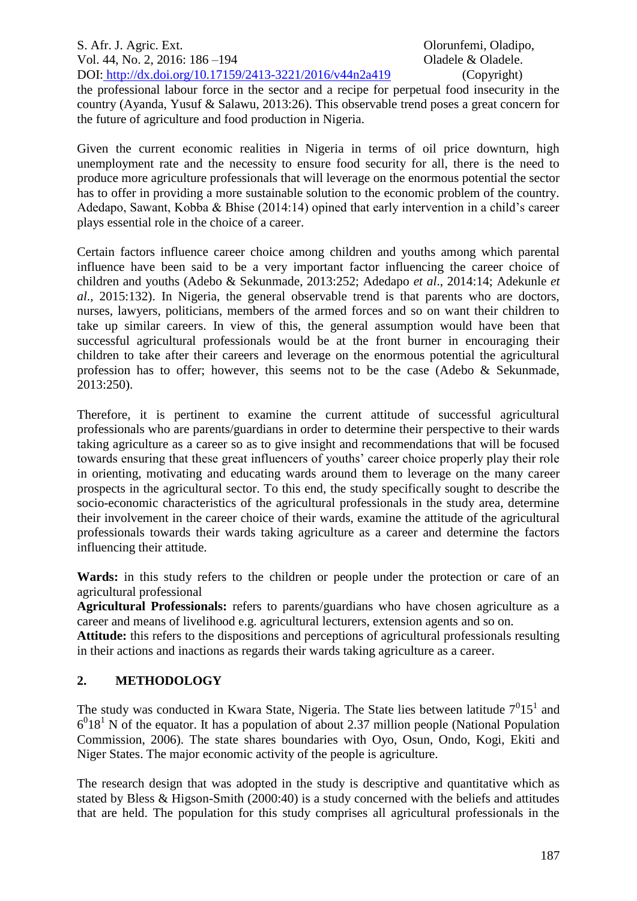S. Afr. J. Agric. Ext. Olorunfemi, Oladipo, Vol. 44, No. 2, 2016: 186 –194 **Oladele & Oladele**. DOI: http://dx.doi.org/10.17159/2413-3221/2016/v44n2a419 (Copyright) the professional labour force in the sector and a recipe for perpetual food insecurity in the country (Ayanda, Yusuf & Salawu, 2013:26). This observable trend poses a great concern for the future of agriculture and food production in Nigeria.

Given the current economic realities in Nigeria in terms of oil price downturn, high unemployment rate and the necessity to ensure food security for all, there is the need to produce more agriculture professionals that will leverage on the enormous potential the sector has to offer in providing a more sustainable solution to the economic problem of the country. Adedapo, Sawant, Kobba & Bhise (2014:14) opined that early intervention in a child's career plays essential role in the choice of a career.

Certain factors influence career choice among children and youths among which parental influence have been said to be a very important factor influencing the career choice of children and youths (Adebo & Sekunmade, 2013:252; Adedapo *et al*., 2014:14; Adekunle *et al*., 2015:132). In Nigeria, the general observable trend is that parents who are doctors, nurses, lawyers, politicians, members of the armed forces and so on want their children to take up similar careers. In view of this, the general assumption would have been that successful agricultural professionals would be at the front burner in encouraging their children to take after their careers and leverage on the enormous potential the agricultural profession has to offer; however, this seems not to be the case (Adebo & Sekunmade, 2013:250).

Therefore, it is pertinent to examine the current attitude of successful agricultural professionals who are parents/guardians in order to determine their perspective to their wards taking agriculture as a career so as to give insight and recommendations that will be focused towards ensuring that these great influencers of youths' career choice properly play their role in orienting, motivating and educating wards around them to leverage on the many career prospects in the agricultural sector. To this end, the study specifically sought to describe the socio-economic characteristics of the agricultural professionals in the study area, determine their involvement in the career choice of their wards, examine the attitude of the agricultural professionals towards their wards taking agriculture as a career and determine the factors influencing their attitude.

**Wards:** in this study refers to the children or people under the protection or care of an agricultural professional

**Agricultural Professionals:** refers to parents/guardians who have chosen agriculture as a career and means of livelihood e.g. agricultural lecturers, extension agents and so on.

**Attitude:** this refers to the dispositions and perceptions of agricultural professionals resulting in their actions and inactions as regards their wards taking agriculture as a career.

## **2. METHODOLOGY**

The study was conducted in Kwara State, Nigeria. The State lies between latitude  $7^015^1$  and  $6<sup>0</sup>18<sup>1</sup>$  N of the equator. It has a population of about 2.37 million people (National Population Commission, 2006). The state shares boundaries with Oyo, Osun, Ondo, Kogi, Ekiti and Niger States. The major economic activity of the people is agriculture.

The research design that was adopted in the study is descriptive and quantitative which as stated by Bless & Higson-Smith (2000:40) is a study concerned with the beliefs and attitudes that are held. The population for this study comprises all agricultural professionals in the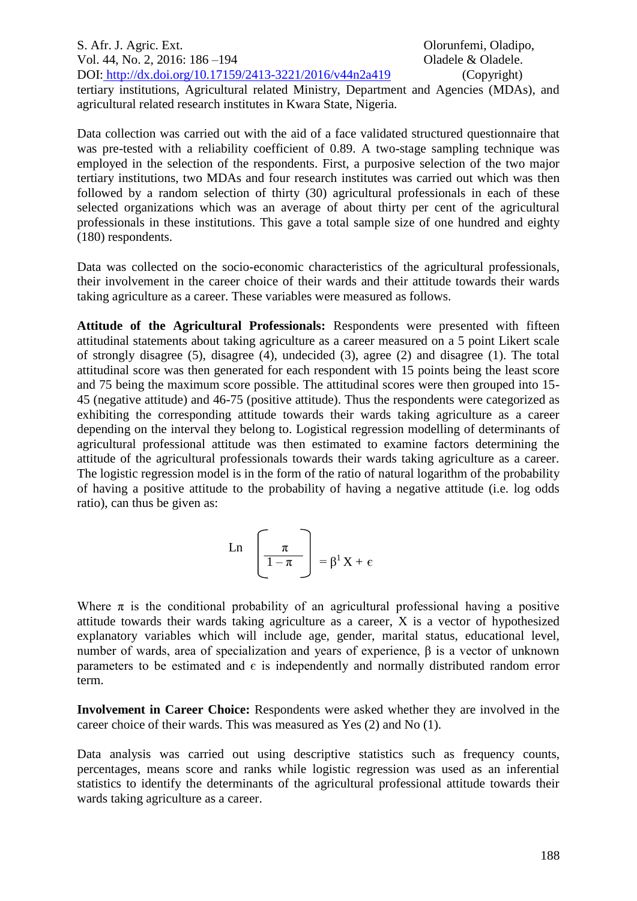S. Afr. J. Agric. Ext. Olorunfemi, Oladipo, Vol. 44, No. 2, 2016: 186 –194 **Oladele & Oladele**. DOI: http://dx.doi.org/10.17159/2413-3221/2016/v44n2a419 (Copyright) tertiary institutions, Agricultural related Ministry, Department and Agencies (MDAs), and agricultural related research institutes in Kwara State, Nigeria.

Data collection was carried out with the aid of a face validated structured questionnaire that was pre-tested with a reliability coefficient of 0.89. A two-stage sampling technique was employed in the selection of the respondents. First, a purposive selection of the two major tertiary institutions, two MDAs and four research institutes was carried out which was then followed by a random selection of thirty (30) agricultural professionals in each of these selected organizations which was an average of about thirty per cent of the agricultural professionals in these institutions. This gave a total sample size of one hundred and eighty (180) respondents.

Data was collected on the socio-economic characteristics of the agricultural professionals, their involvement in the career choice of their wards and their attitude towards their wards taking agriculture as a career. These variables were measured as follows.

**Attitude of the Agricultural Professionals:** Respondents were presented with fifteen attitudinal statements about taking agriculture as a career measured on a 5 point Likert scale of strongly disagree (5), disagree (4), undecided (3), agree (2) and disagree (1). The total attitudinal score was then generated for each respondent with 15 points being the least score and 75 being the maximum score possible. The attitudinal scores were then grouped into 15- 45 (negative attitude) and 46-75 (positive attitude). Thus the respondents were categorized as exhibiting the corresponding attitude towards their wards taking agriculture as a career depending on the interval they belong to. Logistical regression modelling of determinants of agricultural professional attitude was then estimated to examine factors determining the attitude of the agricultural professionals towards their wards taking agriculture as a career. The logistic regression model is in the form of the ratio of natural logarithm of the probability of having a positive attitude to the probability of having a negative attitude (i.e. log odds ratio), can thus be given as:

$$
Ln \left[\frac{\pi}{1-\pi}\right] = \beta^1 X + \varepsilon
$$

Where  $\pi$  is the conditional probability of an agricultural professional having a positive attitude towards their wards taking agriculture as a career, X is a vector of hypothesized explanatory variables which will include age, gender, marital status, educational level, number of wards, area of specialization and years of experience, β is a vector of unknown parameters to be estimated and  $\epsilon$  is independently and normally distributed random error term.

**Involvement in Career Choice:** Respondents were asked whether they are involved in the career choice of their wards. This was measured as Yes (2) and No (1).

Data analysis was carried out using descriptive statistics such as frequency counts, percentages, means score and ranks while logistic regression was used as an inferential statistics to identify the determinants of the agricultural professional attitude towards their wards taking agriculture as a career.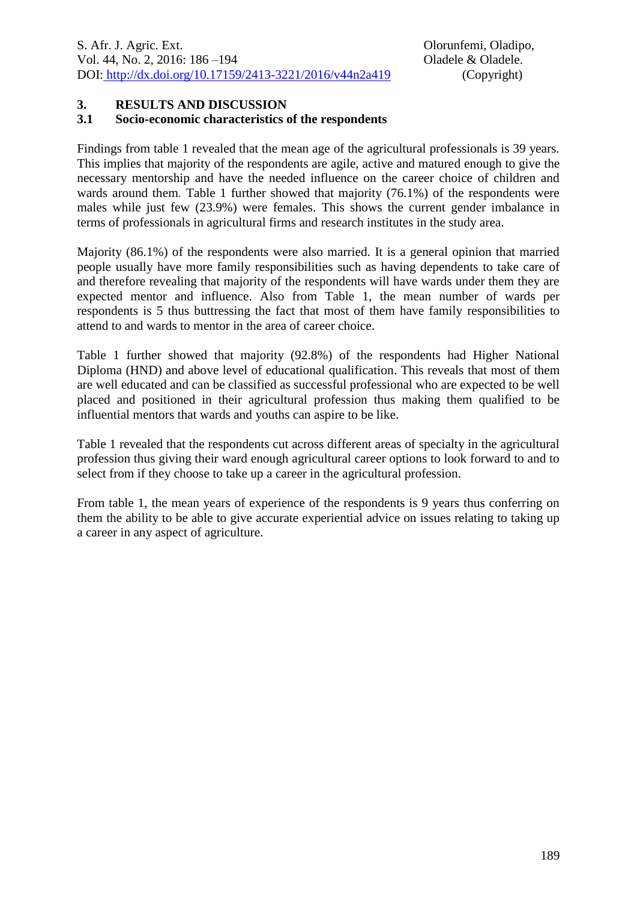### **3. RESULTS AND DISCUSSION**

#### **3.1 Socio-economic characteristics of the respondents**

Findings from table 1 revealed that the mean age of the agricultural professionals is 39 years. This implies that majority of the respondents are agile, active and matured enough to give the necessary mentorship and have the needed influence on the career choice of children and wards around them. Table 1 further showed that majority (76.1%) of the respondents were males while just few (23.9%) were females. This shows the current gender imbalance in terms of professionals in agricultural firms and research institutes in the study area.

Majority (86.1%) of the respondents were also married. It is a general opinion that married people usually have more family responsibilities such as having dependents to take care of and therefore revealing that majority of the respondents will have wards under them they are expected mentor and influence. Also from Table 1, the mean number of wards per respondents is 5 thus buttressing the fact that most of them have family responsibilities to attend to and wards to mentor in the area of career choice.

Table 1 further showed that majority (92.8%) of the respondents had Higher National Diploma (HND) and above level of educational qualification. This reveals that most of them are well educated and can be classified as successful professional who are expected to be well placed and positioned in their agricultural profession thus making them qualified to be influential mentors that wards and youths can aspire to be like.

Table 1 revealed that the respondents cut across different areas of specialty in the agricultural profession thus giving their ward enough agricultural career options to look forward to and to select from if they choose to take up a career in the agricultural profession.

From table 1, the mean years of experience of the respondents is 9 years thus conferring on them the ability to be able to give accurate experiential advice on issues relating to taking up a career in any aspect of agriculture.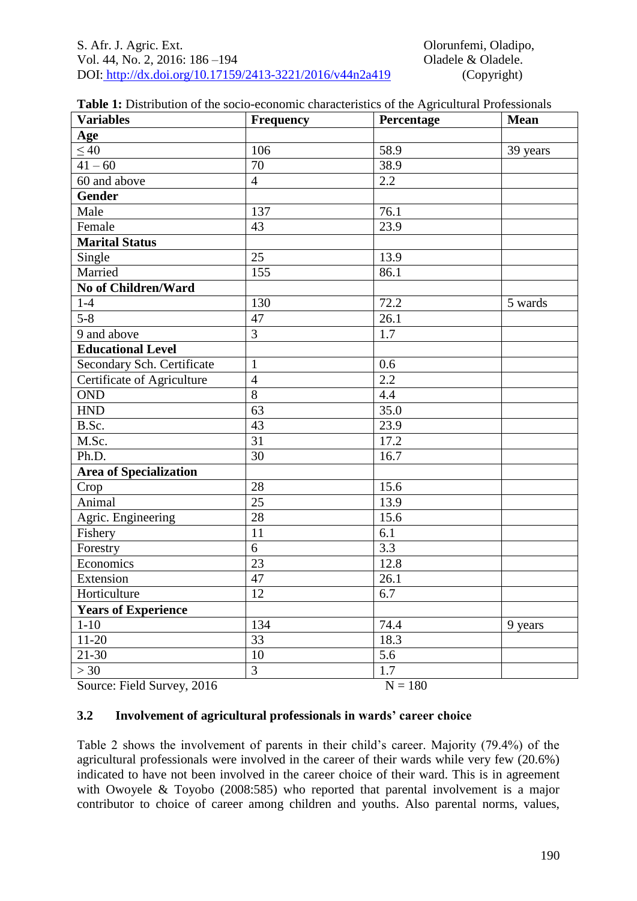| <b>Variables</b>              | Frequency       | Percentage | Mean     |
|-------------------------------|-----------------|------------|----------|
| Age                           |                 |            |          |
| $\leq \overline{40}$          | 106             | 58.9       | 39 years |
| $41 - 60$                     | $\overline{70}$ | 38.9       |          |
| 60 and above                  | $\overline{4}$  | 2.2        |          |
| <b>Gender</b>                 |                 |            |          |
| Male                          | 137             | 76.1       |          |
| Female                        | 43              | 23.9       |          |
| <b>Marital Status</b>         |                 |            |          |
| Single                        | 25              | 13.9       |          |
| Married                       | 155             | 86.1       |          |
| <b>No of Children/Ward</b>    |                 |            |          |
| $1-4$                         | 130             | 72.2       | 5 wards  |
| $5 - 8$                       | 47              | 26.1       |          |
| 9 and above                   | $\overline{3}$  | 1.7        |          |
| <b>Educational Level</b>      |                 |            |          |
| Secondary Sch. Certificate    | $\mathbf{1}$    | 0.6        |          |
| Certificate of Agriculture    | $\overline{4}$  | 2.2        |          |
| <b>OND</b>                    | $\overline{8}$  | 4.4        |          |
| <b>HND</b>                    | $\overline{63}$ | 35.0       |          |
| B.Sc.                         | 43              | 23.9       |          |
| M.Sc.                         | $\overline{31}$ | 17.2       |          |
| Ph.D.                         | $\overline{30}$ | 16.7       |          |
| <b>Area of Specialization</b> |                 |            |          |
| Crop                          | 28              | 15.6       |          |
| Animal                        | $\overline{25}$ | 13.9       |          |
| Agric. Engineering            | 28              | 15.6       |          |
| Fishery                       | 11              | 6.1        |          |
| Forestry                      | 6               | 3.3        |          |
| Economics                     | $\overline{23}$ | 12.8       |          |
| Extension                     | 47              | 26.1       |          |
| Horticulture                  | 12              | 6.7        |          |
| <b>Years of Experience</b>    |                 |            |          |
| $1-10$                        | 134             | 74.4       | 9 years  |
| $11 - 20$                     | 33              | 18.3       |          |
| $21 - 30$                     | 10              | 5.6        |          |
| >30                           | $\overline{3}$  | 1.7        |          |
| Source: Field Survey, 2016    |                 | $N = 180$  |          |

## **3.2 Involvement of agricultural professionals in wards' career choice**

Table 2 shows the involvement of parents in their child's career. Majority (79.4%) of the agricultural professionals were involved in the career of their wards while very few (20.6%) indicated to have not been involved in the career choice of their ward. This is in agreement with Owoyele & Toyobo (2008:585) who reported that parental involvement is a major contributor to choice of career among children and youths. Also parental norms, values,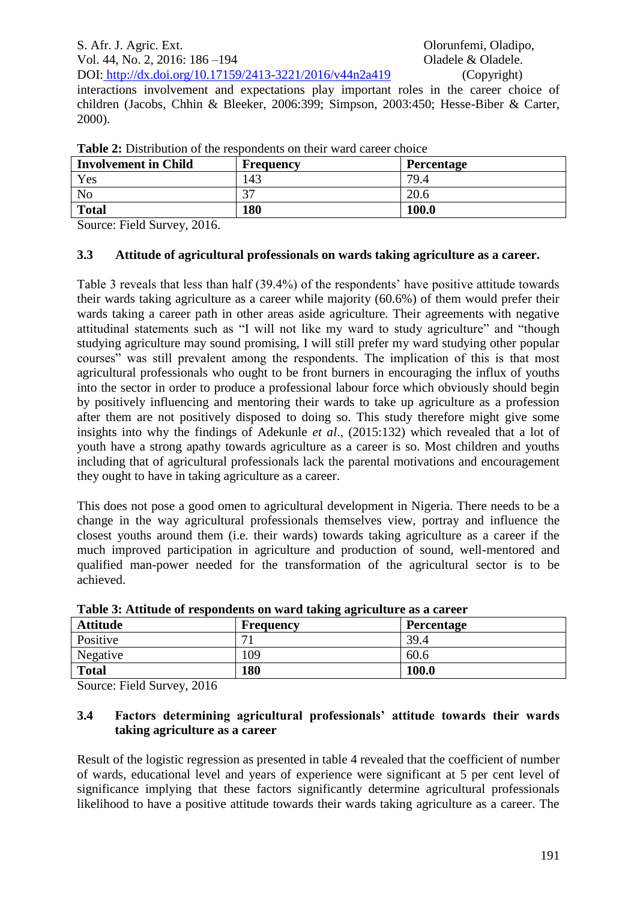interactions involvement and expectations play important roles in the career choice of children (Jacobs, Chhin & Bleeker, 2006:399; Simpson, 2003:450; Hesse-Biber & Carter, 2000).

| <b>Involvement in Child</b> | <b>Frequency</b> | <b>Percentage</b> |
|-----------------------------|------------------|-------------------|
| Yes                         | 143              | 79.4              |
| No                          | 37               | 20.6              |
| <b>Total</b>                | 180              | 100.0             |

**Table 2:** Distribution of the respondents on their ward career choice

Source: Field Survey, 2016.

## **3.3 Attitude of agricultural professionals on wards taking agriculture as a career.**

Table 3 reveals that less than half (39.4%) of the respondents' have positive attitude towards their wards taking agriculture as a career while majority (60.6%) of them would prefer their wards taking a career path in other areas aside agriculture. Their agreements with negative attitudinal statements such as "I will not like my ward to study agriculture" and "though studying agriculture may sound promising, I will still prefer my ward studying other popular courses" was still prevalent among the respondents. The implication of this is that most agricultural professionals who ought to be front burners in encouraging the influx of youths into the sector in order to produce a professional labour force which obviously should begin by positively influencing and mentoring their wards to take up agriculture as a profession after them are not positively disposed to doing so. This study therefore might give some insights into why the findings of Adekunle *et al*., (2015:132) which revealed that a lot of youth have a strong apathy towards agriculture as a career is so. Most children and youths including that of agricultural professionals lack the parental motivations and encouragement they ought to have in taking agriculture as a career.

This does not pose a good omen to agricultural development in Nigeria. There needs to be a change in the way agricultural professionals themselves view, portray and influence the closest youths around them (i.e. their wards) towards taking agriculture as a career if the much improved participation in agriculture and production of sound, well-mentored and qualified man-power needed for the transformation of the agricultural sector is to be achieved.

| Table 5: Attitude of respondents on ward taking agriculture as a career |           |                   |  |  |
|-------------------------------------------------------------------------|-----------|-------------------|--|--|
| <b>Attitude</b>                                                         | Frequency | <b>Percentage</b> |  |  |
| Positive                                                                |           | 39.4              |  |  |
| Negative                                                                | 109       | 60.6              |  |  |
| <b>Total</b>                                                            | 180       | 100.0             |  |  |
| ___                                                                     |           |                   |  |  |

**Table 3: Attitude of respondents on ward taking agriculture as a career** 

Source: Field Survey, 2016

### **3.4 Factors determining agricultural professionals' attitude towards their wards taking agriculture as a career**

Result of the logistic regression as presented in table 4 revealed that the coefficient of number of wards, educational level and years of experience were significant at 5 per cent level of significance implying that these factors significantly determine agricultural professionals likelihood to have a positive attitude towards their wards taking agriculture as a career. The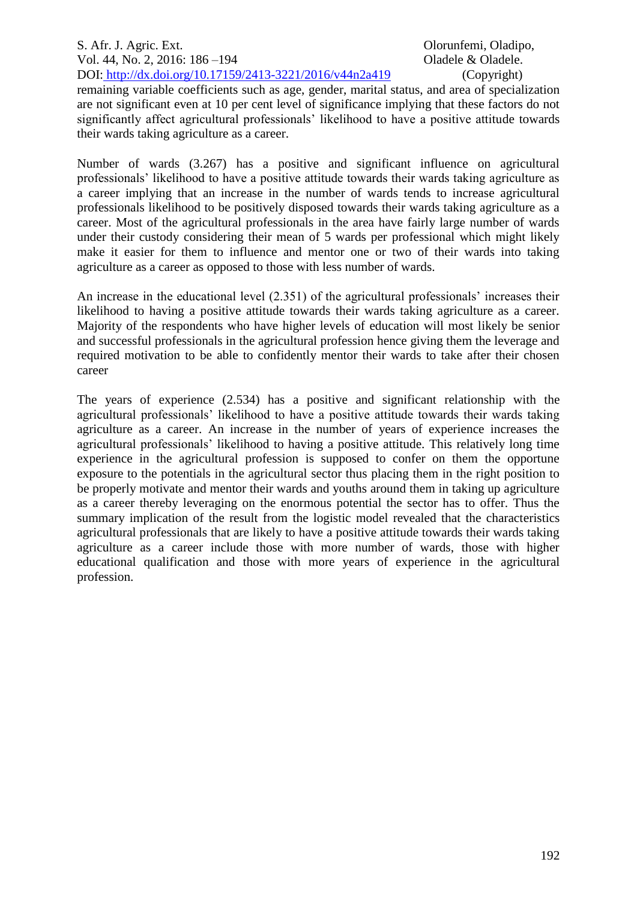S. Afr. J. Agric. Ext. Olorunfemi, Oladipo, Vol. 44, No. 2, 2016: 186 –194 **Oladele & Oladele**. DOI: http://dx.doi.org/10.17159/2413-3221/2016/v44n2a419 (Copyright)

remaining variable coefficients such as age, gender, marital status, and area of specialization are not significant even at 10 per cent level of significance implying that these factors do not significantly affect agricultural professionals' likelihood to have a positive attitude towards their wards taking agriculture as a career.

Number of wards (3.267) has a positive and significant influence on agricultural professionals' likelihood to have a positive attitude towards their wards taking agriculture as a career implying that an increase in the number of wards tends to increase agricultural professionals likelihood to be positively disposed towards their wards taking agriculture as a career. Most of the agricultural professionals in the area have fairly large number of wards under their custody considering their mean of 5 wards per professional which might likely make it easier for them to influence and mentor one or two of their wards into taking agriculture as a career as opposed to those with less number of wards.

An increase in the educational level (2.351) of the agricultural professionals' increases their likelihood to having a positive attitude towards their wards taking agriculture as a career. Majority of the respondents who have higher levels of education will most likely be senior and successful professionals in the agricultural profession hence giving them the leverage and required motivation to be able to confidently mentor their wards to take after their chosen career

The years of experience (2.534) has a positive and significant relationship with the agricultural professionals' likelihood to have a positive attitude towards their wards taking agriculture as a career. An increase in the number of years of experience increases the agricultural professionals' likelihood to having a positive attitude. This relatively long time experience in the agricultural profession is supposed to confer on them the opportune exposure to the potentials in the agricultural sector thus placing them in the right position to be properly motivate and mentor their wards and youths around them in taking up agriculture as a career thereby leveraging on the enormous potential the sector has to offer. Thus the summary implication of the result from the logistic model revealed that the characteristics agricultural professionals that are likely to have a positive attitude towards their wards taking agriculture as a career include those with more number of wards, those with higher educational qualification and those with more years of experience in the agricultural profession.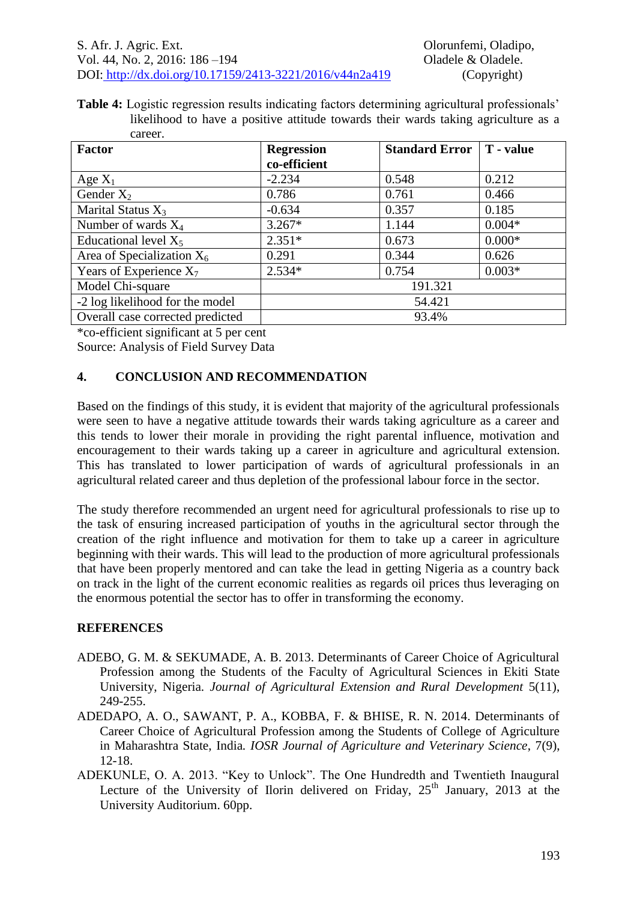**Table 4:** Logistic regression results indicating factors determining agricultural professionals' likelihood to have a positive attitude towards their wards taking agriculture as a career.

| <b>Factor</b>                    | <b>Regression</b> | <b>Standard Error</b> | T - value |
|----------------------------------|-------------------|-----------------------|-----------|
|                                  | co-efficient      |                       |           |
| Age $X_1$                        | $-2.234$          | 0.548                 | 0.212     |
| Gender $X_2$                     | 0.786             | 0.761                 | 0.466     |
| Marital Status $X_3$             | $-0.634$          | 0.357                 | 0.185     |
| Number of wards $X_4$            | $3.267*$          | 1.144                 | $0.004*$  |
| Educational level $X_5$          | $2.351*$          | 0.673                 | $0.000*$  |
| Area of Specialization $X_6$     | 0.291             | 0.344                 | 0.626     |
| Years of Experience $X_7$        | $2.534*$          | 0.754                 | $0.003*$  |
| Model Chi-square                 |                   | 191.321               |           |
| -2 log likelihood for the model  | 54.421            |                       |           |
| Overall case corrected predicted | 93.4%             |                       |           |

\*co-efficient significant at 5 per cent Source: Analysis of Field Survey Data

# **4. CONCLUSION AND RECOMMENDATION**

Based on the findings of this study, it is evident that majority of the agricultural professionals were seen to have a negative attitude towards their wards taking agriculture as a career and this tends to lower their morale in providing the right parental influence, motivation and encouragement to their wards taking up a career in agriculture and agricultural extension. This has translated to lower participation of wards of agricultural professionals in an agricultural related career and thus depletion of the professional labour force in the sector.

The study therefore recommended an urgent need for agricultural professionals to rise up to the task of ensuring increased participation of youths in the agricultural sector through the creation of the right influence and motivation for them to take up a career in agriculture beginning with their wards. This will lead to the production of more agricultural professionals that have been properly mentored and can take the lead in getting Nigeria as a country back on track in the light of the current economic realities as regards oil prices thus leveraging on the enormous potential the sector has to offer in transforming the economy.

# **REFERENCES**

- ADEBO, G. M. & SEKUMADE, A. B. 2013. Determinants of Career Choice of Agricultural Profession among the Students of the Faculty of Agricultural Sciences in Ekiti State University, Nigeria. *Journal of Agricultural Extension and Rural Development* 5(11), 249-255.
- ADEDAPO, A. O., SAWANT, P. A., KOBBA, F. & BHISE, R. N. 2014. Determinants of Career Choice of Agricultural Profession among the Students of College of Agriculture in Maharashtra State, India*. IOSR Journal of Agriculture and Veterinary Science*, 7(9), 12-18.
- ADEKUNLE, O. A. 2013. "Key to Unlock". The One Hundredth and Twentieth Inaugural Lecture of the University of Ilorin delivered on Friday,  $25<sup>th</sup>$  January, 2013 at the University Auditorium. 60pp.